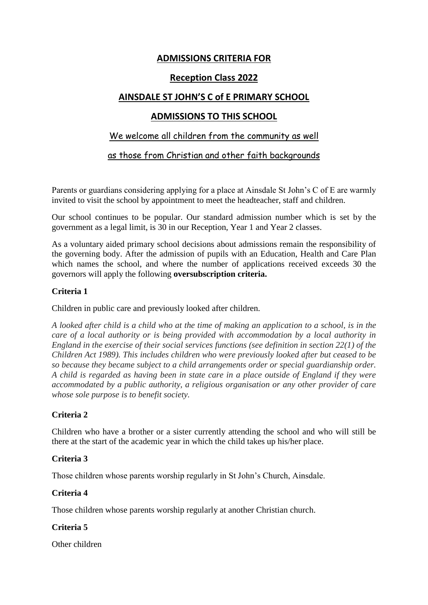# **ADMISSIONS CRITERIA FOR**

## **Reception Class 2022**

# **AINSDALE ST JOHN'S C of E PRIMARY SCHOOL**

# **ADMISSIONS TO THIS SCHOOL**

## We welcome all children from the community as well

as those from Christian and other faith backgrounds

Parents or guardians considering applying for a place at Ainsdale St John's C of E are warmly invited to visit the school by appointment to meet the headteacher, staff and children.

Our school continues to be popular. Our standard admission number which is set by the government as a legal limit, is 30 in our Reception, Year 1 and Year 2 classes.

As a voluntary aided primary school decisions about admissions remain the responsibility of the governing body. After the admission of pupils with an Education, Health and Care Plan which names the school, and where the number of applications received exceeds 30 the governors will apply the following **oversubscription criteria.**

### **Criteria 1**

Children in public care and previously looked after children.

*A looked after child is a child who at the time of making an application to a school, is in the care of a local authority or is being provided with accommodation by a local authority in England in the exercise of their social services functions (see definition in section 22(1) of the Children Act 1989). This includes children who were previously looked after but ceased to be so because they became subject to a child arrangements order or special guardianship order. A child is regarded as having been in state care in a place outside of England if they were accommodated by a public authority, a religious organisation or any other provider of care whose sole purpose is to benefit society.*

### **Criteria 2**

Children who have a brother or a sister currently attending the school and who will still be there at the start of the academic year in which the child takes up his/her place.

### **Criteria 3**

Those children whose parents worship regularly in St John's Church, Ainsdale.

### **Criteria 4**

Those children whose parents worship regularly at another Christian church.

### **Criteria 5**

Other children